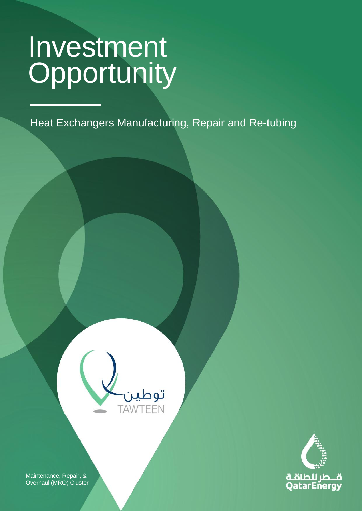CLASSIFICATION: C2 - CONFIDENTIAL

Heat Exchangers Manufacturing, Repair and Re-tubing

**Light Equipment Business Services & Other**





Maintenance, Repair, & Overhaul (MRO) Cluster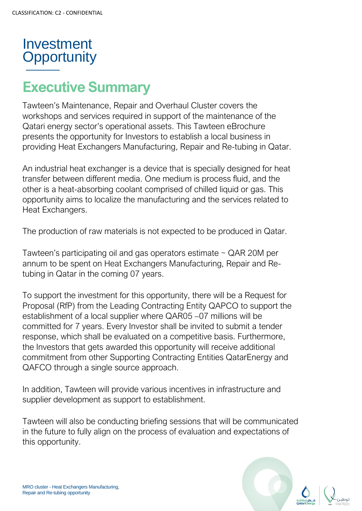# **Executive Summary**

Tawteen's Maintenance, Repair and Overhaul Cluster covers the workshops and services required in support of the maintenance of the Qatari energy sector's operational assets. This Tawteen eBrochure presents the opportunity for Investors to establish a local business in providing Heat Exchangers Manufacturing, Repair and Re-tubing in Qatar.

An industrial heat exchanger is a device that is specially designed for heat transfer between different media. One medium is process fluid, and the other is a heat-absorbing coolant comprised of chilled liquid or gas. This opportunity aims to localize the manufacturing and the services related to Heat Exchangers.

The production of raw materials is not expected to be produced in Qatar.

Tawteen's participating oil and gas operators estimate ~ QAR 20M per annum to be spent on Heat Exchangers Manufacturing, Repair and Retubing in Qatar in the coming 07 years.

To support the investment for this opportunity, there will be a Request for Proposal (RfP) from the Leading Contracting Entity QAPCO to support the establishment of a local supplier where QAR05 –07 millions will be committed for 7 years. Every Investor shall be invited to submit a tender response, which shall be evaluated on a competitive basis. Furthermore, the Investors that gets awarded this opportunity will receive additional commitment from other Supporting Contracting Entities QatarEnergy and QAFCO through a single source approach.

In addition, Tawteen will provide various incentives in infrastructure and supplier development as support to establishment.

Tawteen will also be conducting briefing sessions that will be communicated in the future to fully align on the process of evaluation and expectations of this opportunity.

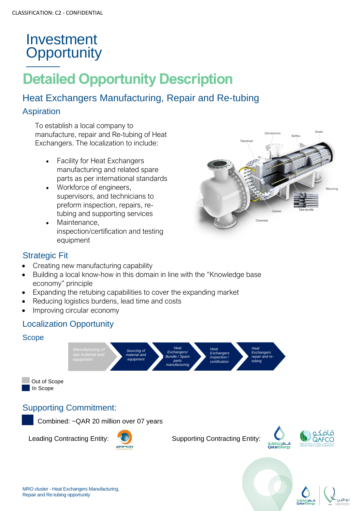# **Detailed Opportunity Description**

#### Heat Exchangers Manufacturing, Repair and Re-tubing

#### Aspiration

To establish a local company to manufacture, repair and Re-tubing of Heat Exchangers. The localization to include:

- Facility for Heat Exchangers manufacturing and related spare parts as per international standards
- Workforce of engineers, supervisors, and technicians to preform inspection, repairs, retubing and supporting services
- Maintenance. inspection/certification and testing equipment



#### Strategic Fit

- Creating new manufacturing capability
- Building a local know-how in this domain in line with the "Knowledge base economy" principle
- Expanding the retubing capabilities to cover the expanding market
- Reducing logistics burdens, lead time and costs
- Improving circular economy

#### Localization Opportunity

#### Scope







Leading Contracting Entity:  $\bigcup$  Supporting Contracting Entity:



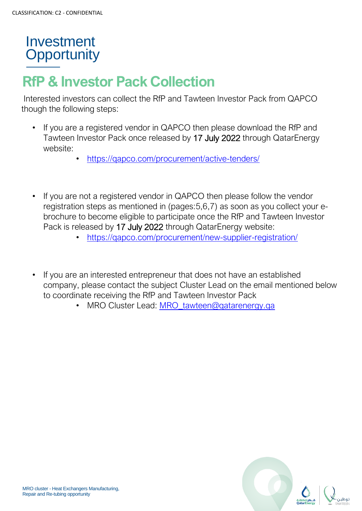## **RfP & Investor Pack Collection**

Interested investors can collect the RfP and Tawteen Investor Pack from QAPCO though the following steps:

- If you are a registered vendor in QAPCO then please download the RfP and Tawteen Investor Pack once released by 17 July 2022 through QatarEnergy website:
	- <https://qapco.com/procurement/active-tenders/>
- If you are not a registered vendor in QAPCO then please follow the vendor registration steps as mentioned in (pages:5,6,7) as soon as you collect your ebrochure to become eligible to participate once the RfP and Tawteen Investor Pack is released by 17 July 2022 through QatarEnergy website:
	- <https://qapco.com/procurement/new-supplier-registration/>
- If you are an interested entrepreneur that does not have an established company, please contact the subject Cluster Lead on the email mentioned below to coordinate receiving the RfP and Tawteen Investor Pack
	- MRO Cluster Lead: [MRO\\_tawteen@qatarenergy.qa](mailto:MRO_tawteen@qatarenergy.qa)